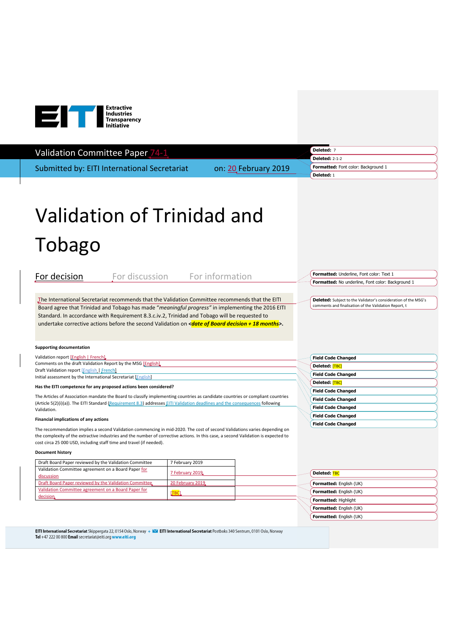

## Validation Committee Paper 74-1

Submitted by: EITI International Secretariat on: 20 February 2019

**Formatted:** Font color: Background 1 **Deleted:** 2-1-2 **Deleted:** 1

**Deleted:** 7

# Validation of Trinidad and Tobago

| For decision                                                                                                                                                                                                                                                                                                                                                                                                                        |       | For discussion For information |  |                           | Formatted: Underline, Font color: Text 1                                                                                |
|-------------------------------------------------------------------------------------------------------------------------------------------------------------------------------------------------------------------------------------------------------------------------------------------------------------------------------------------------------------------------------------------------------------------------------------|-------|--------------------------------|--|---------------------------|-------------------------------------------------------------------------------------------------------------------------|
|                                                                                                                                                                                                                                                                                                                                                                                                                                     |       |                                |  |                           | Formatted: No underline, Font color: Background 1                                                                       |
| The International Secretariat recommends that the Validation Committee recommends that the EITI<br>Board agree that Trinidad and Tobago has made "meaningful progress" in implementing the 2016 EITI<br>Standard. In accordance with Requirement 8.3.c.iv.2, Trinidad and Tobago will be requested to<br>undertake corrective actions before the second Validation on $\alpha$ and allocate of <b>Board decision + 18 months</b> >. |       |                                |  |                           | Deleted: Subject to the Validator's consideration of the MSG's<br>comments and finalisation of the Validation Report, t |
| <b>Supporting documentation</b>                                                                                                                                                                                                                                                                                                                                                                                                     |       |                                |  |                           |                                                                                                                         |
| Validation report [English   French]                                                                                                                                                                                                                                                                                                                                                                                                |       |                                |  |                           | <b>Field Code Changed</b>                                                                                               |
| Comments on the draft Validation Report by the MSG [English]                                                                                                                                                                                                                                                                                                                                                                        |       |                                |  |                           | Deleted: [TBC]                                                                                                          |
| Draft Validation report [English   French]<br>Initial assessment by the International Secretariat [English]                                                                                                                                                                                                                                                                                                                         |       |                                |  |                           | <b>Field Code Changed</b>                                                                                               |
| Has the EITI competence for any proposed actions been considered?                                                                                                                                                                                                                                                                                                                                                                   |       |                                |  |                           | Deleted: [TBC]                                                                                                          |
|                                                                                                                                                                                                                                                                                                                                                                                                                                     |       |                                |  | <b>Field Code Changed</b> |                                                                                                                         |
| The Articles of Association mandate the Board to classify implementing countries as candidate countries or compliant countries<br>(Article 5(2)(i)(a)). The EITI Standard (Requirement 8.3) addresses EITI Validation deadlines and the consequences following                                                                                                                                                                      |       |                                |  | <b>Field Code Changed</b> |                                                                                                                         |
| Validation.                                                                                                                                                                                                                                                                                                                                                                                                                         |       |                                |  | <b>Field Code Changed</b> |                                                                                                                         |
| Financial implications of any actions                                                                                                                                                                                                                                                                                                                                                                                               |       |                                |  | <b>Field Code Changed</b> |                                                                                                                         |
| The recommendation implies a second Validation commencing in mid-2020. The cost of second Validations varies depending on<br>the complexity of the extractive industries and the number of corrective actions. In this case, a second Validation is expected to<br>cost circa 25 000 USD, including staff time and travel (if needed).                                                                                              |       |                                |  |                           | <b>Field Code Changed</b>                                                                                               |
| <b>Document history</b>                                                                                                                                                                                                                                                                                                                                                                                                             |       |                                |  |                           |                                                                                                                         |
| Draft Board Paper reviewed by the Validation Committee                                                                                                                                                                                                                                                                                                                                                                              |       | 7 February 2019                |  |                           |                                                                                                                         |
| Validation Committee agreement on a Board Paper for<br>discussion                                                                                                                                                                                                                                                                                                                                                                   |       | 7 February 2019                |  |                           | Deleted: TBC                                                                                                            |
| Draft Board Paper reviewed by the Validation Committee,                                                                                                                                                                                                                                                                                                                                                                             |       | 20 February 2019,              |  |                           | Formatted: English (UK)                                                                                                 |
| Validation Committee agreement on a Board Paper for<br>decision.                                                                                                                                                                                                                                                                                                                                                                    | [TBC] |                                |  |                           | <b>Formatted:</b> English (UK)                                                                                          |
|                                                                                                                                                                                                                                                                                                                                                                                                                                     |       |                                |  |                           | Formatted: Highlight                                                                                                    |
|                                                                                                                                                                                                                                                                                                                                                                                                                                     |       |                                |  |                           | Formatted: English (UK)                                                                                                 |
|                                                                                                                                                                                                                                                                                                                                                                                                                                     |       |                                |  |                           | Formatted: English (UK)                                                                                                 |

EITI International Secretariat Skippergata 22, 0154 Oslo, Norway + MI EITI International Secretariat Postboks 340 Sentrum, 0101 Oslo, Norway Tel +47 222 00 800 Email secretariat@eiti.org www.eiti.org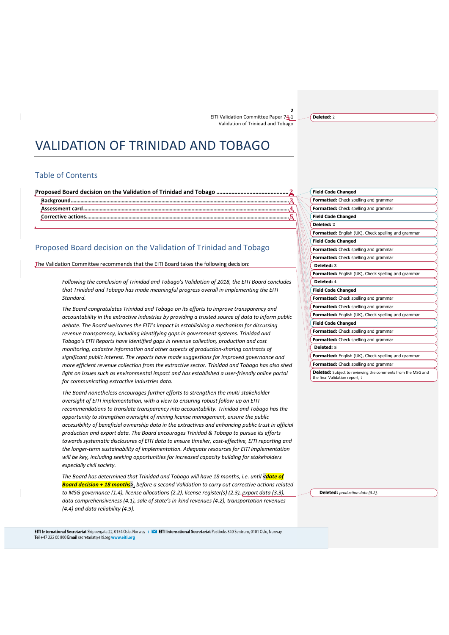**Deleted:** 2

# VALIDATION OF TRINIDAD AND TOBAGO

#### Table of Contents

**Proposed Board decision on the Validation of Trinidad and Tobago ................................................2**

**Background...............................................................................................................................................................3 Assessment card..** 

**Corrective actions.....** 

### Proposed Board decision on the Validation of Trinidad and Tobago

The Validation Committee recommends that the EITI Board takes the following decision:

*Following the conclusion of Trinidad and Tobago's Validation of 2018, the EITI Board concludes that Trinidad and Tobago has made meaningful progress overall in implementing the EITI Standard.*

*The Board congratulates Trinidad and Tobago on its efforts to improve transparency and accountability in the extractive industries by providing a trusted source of data to inform public debate. The Board welcomes the EITI's impact in establishing a mechanism for discussing revenue transparency, including identifying gaps in government systems. Trinidad and Tobago's EITI Reports have identified gaps in revenue collection, production and cost monitoring, cadastre information and other aspects of production-sharing contracts of significant public interest. The reports have made suggestions for improved governance and more efficient revenue collection from the extractive sector. Trinidad and Tobago has also shed light on issues such as environmental impact and has established a user-friendly online portal for communicating extractive industries data.*

*The Board nonetheless encourages further efforts to strengthen the multi-stakeholder oversight of EITI implementation, with a view to ensuring robust follow-up on EITI recommendations to translate transparency into accountability. Trinidad and Tobago has the opportunity to strengthen oversight of mining license management, ensure the public accessibility of beneficial ownership data in the extractives and enhancing public trust in official production and export data. The Board encourages Trinidad & Tobago to pursue its efforts towards systematic disclosures of EITI data to ensure timelier, cost-effective, EITI reporting and the longer-term sustainability of implementation. Adequate resources for EITI implementation will be key, including seeking opportunities for increased capacity building for stakeholders especially civil society.* 

*The Board has determined that Trinidad and Tobago will have 18 months, i.e. until <date of Board decision + 18 months>*, *before a second Validation to carry out corrective actions related to MSG governance (1.4), license allocations (2.2), license register(s) (2.3), export data (3.3), data comprehensiveness (4.1), sale of state's in-kind revenues (4.2), transportation revenues (4.4) and data reliability (4.9).* 

|            | <b>Field Code Changed</b>                           |
|------------|-----------------------------------------------------|
|            | Formatted: Check spelling and grammar               |
|            | Formatted: Check spelling and grammar               |
|            | <b>Field Code Changed</b>                           |
| Deleted: 2 |                                                     |
|            | Formatted: English (UK), Check spelling and grammar |
|            | <b>Field Code Changed</b>                           |
|            | Formatted: Check spelling and grammar               |
|            | Formatted: Check spelling and grammar               |
| Deleted: 3 |                                                     |
|            | Formatted: English (UK), Check spelling and grammar |
| Deleted: 4 |                                                     |
|            | <b>Field Code Changed</b>                           |
|            | Formatted: Check spelling and grammar               |
|            | Formatted: Check spelling and grammar               |
|            | Formatted: English (UK), Check spelling and grammar |
|            | <b>Field Code Changed</b>                           |
|            | Formatted: Check spelling and grammar               |
|            | Formatted: Check spelling and grammar               |
| Deleted: 5 |                                                     |
|            | Formatted: English (UK), Check spelling and grammar |
|            | Formatted: Check spelling and grammar               |
|            |                                                     |

**Deleted:** *production data (3.2),* 

the final Validation report, t

EITI International Secretariat Skippergata 22, 0154 Oslo, Norway + **124** EITI International Secretariat Postboks 340 Sentrum, 0101 Oslo, Norway Tel +47 222 00 800 Email secretariat@eiti.org www.eiti.org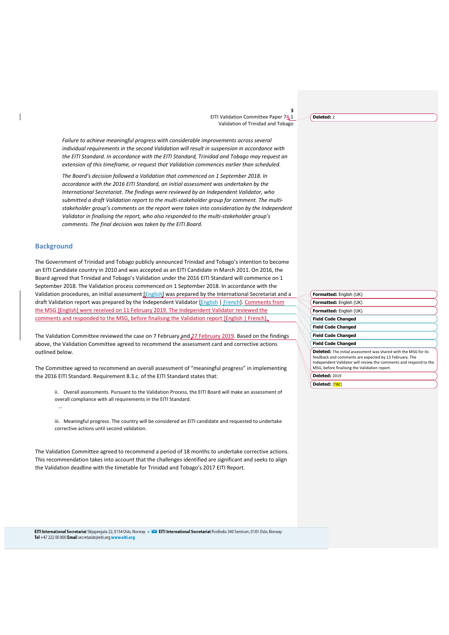*Failure to achieve meaningful progress with considerable improvements across several individual requirements in the second Validation will result in suspension in accordance with the EITI Standard. In accordance with the EITI Standard, Trinidad and Tobago may request an extension of this timeframe, or request that Validation commences earlier than scheduled.*

*The Board's decision followed a Validation that commenced on 1 September 2018. In accordance with the 2016 EITI Standard, an initial assessment was undertaken by the International Secretariat. The findings were reviewed by an Independent Validator, who submitted a draft Validation report to the multi-stakeholder group for comment. The multistakeholder group's comments on the report were taken into consideration by the Independent Validator in finalising the report, who also responded to the multi-stakeholder group's comments. The final decision was taken by the EITI Board.*

#### **Background**

…

The Government of Trinidad and Tobago publicly announced Trinidad and Tobago's intention to become an EITI Candidate country in 2010 and was accepted as an EITI Candidate in March 2011. On 2016, the Board agreed that Trinidad and Tobago's Validation under the 2016 EITI Standard will commence on 1 September 2018. The Validation process commenced on 1 September 2018. In accordance with the Validation procedures, an initial assessment [English] was prepared by the International Secretariat and a draft Validation report was prepared by the Independent Validator [English | French]. Comments from the MSG [English] were received on 11 February 2019. The Independent Validator reviewed the comments and responded to the MSG, before finalising the Validation report [English | French].

The Validation Committee reviewed the case on 7 February and 27 February 2019. Based on the findings above, the Validation Committee agreed to recommend the assessment card and corrective actions outlined below.

The Committee agreed to recommend an overall assessment of "meaningful progress" in implementing the 2016 EITI Standard. Requirement 8.3.c. of the EITI Standard states that:

ii. Overall assessments. Pursuant to the Validation Process, the EITI Board will make an assessment of overall compliance with all requirements in the EITI Standard.

iii. Meaningful progress. The country will be considered an EITI candidate and requested to undertake corrective actions until second validation.

The Validation Committee agreed to recommend a period of 18 months to undertake corrective actions. This recommendation takes into account that the challenges identified are significant and seeks to align the Validation deadline with the timetable for Trinidad and Tobago's 2017 EITI Report.

EITI International Secretariat Skippergata 22, 0154 Oslo, Norway + **124** EITI International Secretariat Postboks 340 Sentrum, 0101 Oslo, Norway Tel +47 222 00 800 Email secretariat@eiti.org www.eiti.org

#### **Formatted:** English (UK) **Field Code Changed Field Code Changed Field Code Changed Field Code Changed Deleted:** The initial assessment was shared with the MSG for its feedback and comments are expected by 13 February. The Independent Validator will review the comments and respond to the MSG, before finalising the Validation report.

**Deleted:** 2019

**Deleted:** [TBC]

**Formatted:** English (UK) **Formatted:** English (UK)

**Deleted:** 2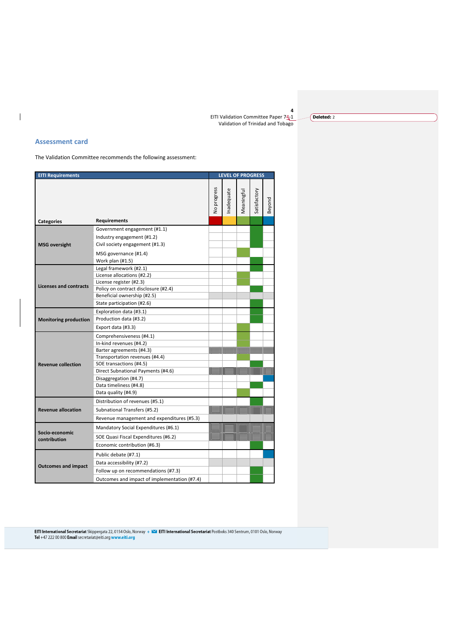**Deleted:** 2

#### **Assessment card**

The Validation Committee recommends the following assessment:

| <b>EITI Requirements</b>       |                                              |             |           | <b>LEVEL OF PROGRESS</b> |              |        |  |  |  |
|--------------------------------|----------------------------------------------|-------------|-----------|--------------------------|--------------|--------|--|--|--|
|                                |                                              |             |           |                          |              |        |  |  |  |
|                                |                                              | No progress | nadequate | Meaningful               | Satisfactory |        |  |  |  |
|                                |                                              |             |           |                          |              | Beyond |  |  |  |
|                                |                                              |             |           |                          |              |        |  |  |  |
| <b>Categories</b>              | <b>Requirements</b>                          |             |           |                          |              |        |  |  |  |
| <b>MSG</b> oversight           | Government engagement (#1.1)                 |             |           |                          |              |        |  |  |  |
|                                | Industry engagement (#1.2)                   |             |           |                          |              |        |  |  |  |
|                                | Civil society engagement (#1.3)              |             |           |                          |              |        |  |  |  |
|                                | MSG governance (#1.4)                        |             |           |                          |              |        |  |  |  |
|                                | Work plan (#1.5)                             |             |           |                          |              |        |  |  |  |
|                                | Legal framework (#2.1)                       |             |           |                          |              |        |  |  |  |
|                                | License allocations (#2.2)                   |             |           |                          |              |        |  |  |  |
| Licenses and contracts         | License register (#2.3)                      |             |           |                          |              |        |  |  |  |
|                                | Policy on contract disclosure (#2.4)         |             |           |                          |              |        |  |  |  |
|                                | Beneficial ownership (#2.5)                  |             |           |                          |              |        |  |  |  |
|                                | State participation (#2.6)                   |             |           |                          |              |        |  |  |  |
|                                | Exploration data (#3.1)                      |             |           |                          |              |        |  |  |  |
| <b>Monitoring production</b>   | Production data (#3.2)                       |             |           |                          |              |        |  |  |  |
|                                | Export data (#3.3)                           |             |           |                          |              |        |  |  |  |
|                                | Comprehensiveness (#4.1)                     |             |           |                          |              |        |  |  |  |
|                                | In-kind revenues (#4.2)                      |             |           |                          |              |        |  |  |  |
|                                | Barter agreements (#4.3)                     |             |           |                          |              |        |  |  |  |
|                                | Transportation revenues (#4.4)               |             |           |                          |              |        |  |  |  |
| <b>Revenue collection</b>      | SOE transactions (#4.5)                      |             |           |                          |              |        |  |  |  |
|                                | Direct Subnational Payments (#4.6)           |             |           |                          |              |        |  |  |  |
|                                | Disaggregation (#4.7)                        |             |           |                          |              |        |  |  |  |
|                                | Data timeliness (#4.8)                       |             |           |                          |              |        |  |  |  |
|                                | Data quality (#4.9)                          |             |           |                          |              |        |  |  |  |
| <b>Revenue allocation</b>      | Distribution of revenues (#5.1)              |             |           |                          |              |        |  |  |  |
|                                | Subnational Transfers (#5.2)                 |             |           |                          |              |        |  |  |  |
|                                | Revenue management and expenditures (#5.3)   |             |           |                          |              |        |  |  |  |
| Socio-economic<br>contribution | Mandatory Social Expenditures (#6.1)         |             |           |                          |              |        |  |  |  |
|                                | SOE Quasi Fiscal Expenditures (#6.2)         |             |           |                          |              |        |  |  |  |
|                                | Economic contribution (#6.3)                 |             |           |                          |              |        |  |  |  |
| <b>Outcomes and impact</b>     | Public debate (#7.1)                         |             |           |                          |              |        |  |  |  |
|                                | Data accessibility (#7.2)                    |             |           |                          |              |        |  |  |  |
|                                | Follow up on recommendations (#7.3)          |             |           |                          |              |        |  |  |  |
|                                | Outcomes and impact of implementation (#7.4) |             |           |                          |              |        |  |  |  |

EITI International Secretariat Skippergata 22, 0154 Oslo, Norway + ■ EITI International Secretariat Postboks 340 Sentrum, 0101 Oslo, Norway<br>Tel +47 222 00 800 Email secretariat@eiti.org www.eiti.org

 $\overline{\phantom{a}}$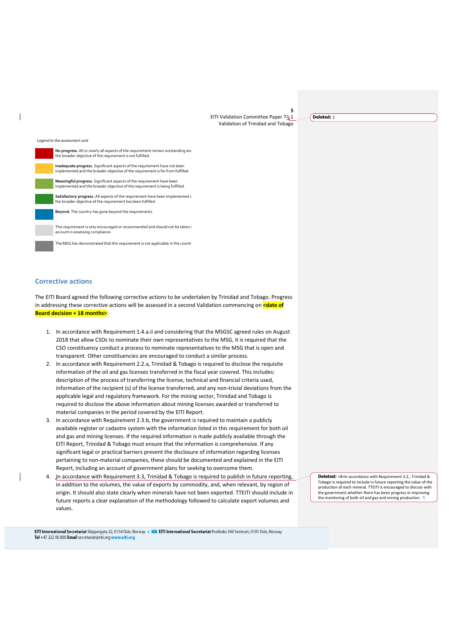**Deleted:** 2

#### *Legend to the assessment card*

| No progress. All or nearly all aspects of the requirement remain outstanding and<br>the broader objective of the requirement is not fulfilled.               |
|--------------------------------------------------------------------------------------------------------------------------------------------------------------|
| Inadequate progress. Significant aspects of the requirement have not been<br>implemented and the broader objective of the requirement is far from fulfilled. |
| Meaningful progress. Significant aspects of the requirement have been<br>implemented and the broader objective of the requirement is being fulfilled.        |
| Satisfactory progress. All aspects of the requirement have been implemented a<br>the broader objective of the requirement has been fulfilled.                |
| Beyond. The country has gone beyond the requirements.                                                                                                        |
| This requirement is only encouraged or recommended and should not be taken i<br>account in assessing compliance.                                             |

The MSG has demonstrated that this requirement is not applicable in the countr

#### **Corrective actions**

The EITI Board agreed the following corrective actions to be undertaken by Trinidad and Tobago. Progress in addressing these corrective actions will be assessed in a second Validation commencing on **<date of Board decision + 18 months>**:

- 1. In accordance with Requirement 1.4.a.ii and considering that the MSGSC agreed rules on August 2018 that allow CSOs to nominate their own representatives to the MSG, it is required that the CSO constituency conduct a process to nominate representatives to the MSG that is open and transparent. Other constituencies are encouraged to conduct a similar process.
- 2. In accordance with Requirement 2.2.a, Trinidad & Tobago is required to disclose the requisite information of the oil and gas licenses transferred in the fiscal year covered. This includes: description of the process of transferring the license, technical and financial criteria used, information of the recipient (s) of the license transferred, and any non-trivial deviations from the applicable legal and regulatory framework. For the mining sector, Trinidad and Tobago is required to disclose the above information about mining licenses awarded or transferred to material companies in the period covered by the EITI Report.
- 3. In accordance with Requirement 2.3.b, the government is required to maintain a publicly available register or cadastre system with the information listed in this requirement for both oil and gas and mining licenses. If the required information is made publicly available through the EITI Report, Trinidad & Tobago must ensure that the information is comprehensive. If any significant legal or practical barriers prevent the disclosure of information regarding licenses pertaining to non-material companies, these should be documented and explained in the EITI Report, including an account of government plans for seeking to overcome them.
- 4. In accordance with Requirement 3.3, Trinidad & Tobago is required to publish in future reporting, in addition to the volumes, the value of exports by commodity, and, when relevant, by region of origin. It should also state clearly when minerals have not been exported. TTEITI should include in future reports a clear explanation of the methodology followed to calculate export volumes and values.

**Deleted:** <#>In accordance with Requirement 3.2., Trinidad & Tobago is required to include in future reporting the value of the production of each mineral. TTEITI is encouraged to discuss with the government whether there has been progress in improving<br>the monitoring of both oil and gas and mining production.

EITI International Secretariat Skippergata 22,0154 Oslo, Norway + <a>EITI International Secretariat Postboks 340 Sentrum, 0101 Oslo, Norway Tel +47 222 00 800 Email secretariat@eiti.org www.eiti.org